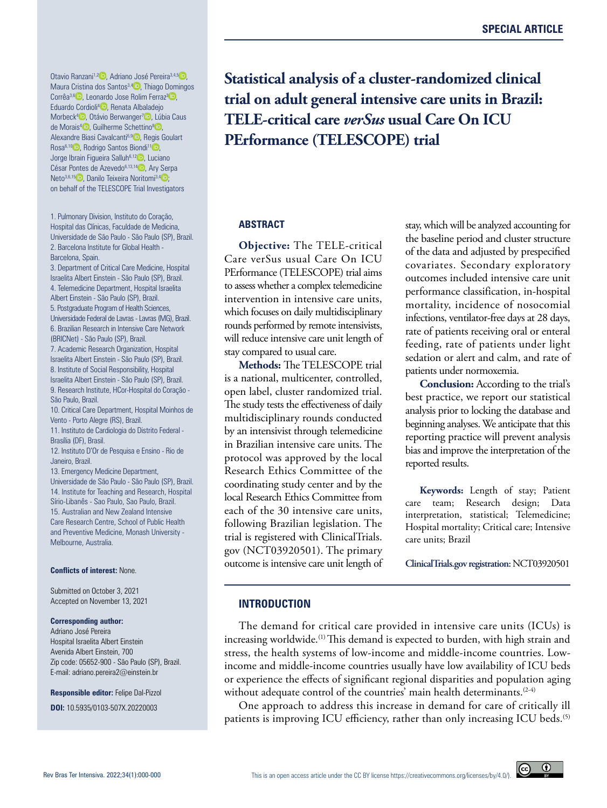Otavio Ranzani<sup>1,[2](https://orcid.org/0000-0002-4677-6862)</sup> D, Adriano José Pereira<sup>3,4[,5](https://orcid.org/0000-0002-3528-3800)</sup> D, Maura Cristina dos Santos<sup>3,4</sup> [,](https://orcid.org/0000-0001-9546-5780) Thiago Domingos Corrêa<sup>3,6</sup> D[,](https://orcid.org/0000-0001-9546-3910) Leonardo Jose Rolim Ferraz<sup>3</sup> D, Eduardo Cordioli<sup>4</sup> [,](https://orcid.org/0000-0001-5405-9380) Renata Albaladejo Morbeck<sup>[4](https://orcid.org/0000-0003-1789-1738)</sup> D Otávio Berwanger<sup>7</sup> D Lúbia Caus de Morais<sup>4</sup> [,](https://orcid.org/0000-0003-2503-7144) Guilherme Schettino<sup>8</sup> <sub>.</sub> Alexandre Biasi Cavalcanti<sup>6[,9](https://orcid.org/0000-0003-2798-6263)</sup> D, Regis Goulart Rosa<sup>6,[10](https://orcid.org/0000-0001-7881-9866)</sup> , Rodrigo Santos Biondi<sup>[1](https://orcid.org/0000-0002-9242-6062)1</sup><sup>0</sup>. Jorge Ibrain Figueira Salluh<sup>6,[12](https://orcid.org/0000-0002-8164-1453)</sup><sup>D</sup>, Luciano César Pontes de Azevedo<sup>6,13,[14](https://orcid.org/0000-0001-6759-3910)</sup> <sub>p</sub>, Ary Serpa Neto<sup>3,6,[15](https://orcid.org/0000-0003-1520-9387)</sup> D. Danilo Teixeira Noritomi<sup>3,4</sup> D. on behalf of the TELESCOPE Trial Investigators

1. Pulmonary Division, Instituto do Coração, Hospital das Clínicas, Faculdade de Medicina, Universidade de São Paulo - São Paulo (SP), Brazil. 2. Barcelona Institute for Global Health - Barcelona, Spain.

3. Department of Critical Care Medicine, Hospital Israelita Albert Einstein - São Paulo (SP), Brazil. 4. Telemedicine Department, Hospital Israelita Albert Einstein - São Paulo (SP), Brazil. 5. Postgraduate Program of Health Sciences, Universidade Federal de Lavras - Lavras (MG), Brazil. 6. Brazilian Research in Intensive Care Network (BRICNet) - São Paulo (SP), Brazil. 7. Academic Research Organization, Hospital Israelita Albert Einstein - São Paulo (SP), Brazil. 8. Institute of Social Responsibility, Hospital Israelita Albert Einstein - São Paulo (SP), Brazil. 9. Research Institute, HCor-Hospital do Coração - São Paulo, Brazil. 10. Critical Care Department, Hospital Moinhos de Vento - Porto Alegre (RS), Brazil. 11. Instituto de Cardiologia do Distrito Federal - Brasília (DF), Brasil. 12. Instituto D'Or de Pesquisa e Ensino - Rio de Janeiro, Brazil. 13. Emergency Medicine Department, Universidade de São Paulo - São Paulo (SP), Brazil. 14. Institute for Teaching and Research, Hospital Sírio-Libanês - Sao Paulo, Sao Paulo, Brazil. 15. Australian and New Zealand Intensive Care Research Centre, School of Public Health

**Conflicts of interest:** None.

Melbourne, Australia.

Submitted on October 3, 2021 Accepted on November 13, 2021

#### **Corresponding author:**

Adriano José Pereira Hospital Israelita Albert Einstein Avenida Albert Einstein, 700 Zip code: 05652-900 - São Paulo (SP), Brazil. E-mail: adriano.pereira2@einstein.br

and Preventive Medicine, Monash University -

**Responsible editor:** Felipe Dal-Pizzol **DOI:** 10.5935/0103-507X.20220003

**Statistical analysis of a cluster-randomized clinical trial on adult general intensive care units in Brazil: TELE-critical care** *verSus* **usual Care On ICU PErformance (TELESCOPE) trial**

**Objective:** The TELE-critical Care verSus usual Care On ICU PErformance (TELESCOPE) trial aims to assess whether a complex telemedicine intervention in intensive care units, which focuses on daily multidisciplinary rounds performed by remote intensivists, will reduce intensive care unit length of stay compared to usual care.

**Methods:** The TELESCOPE trial is a national, multicenter, controlled, open label, cluster randomized trial. The study tests the effectiveness of daily multidisciplinary rounds conducted by an intensivist through telemedicine in Brazilian intensive care units. The protocol was approved by the local Research Ethics Committee of the coordinating study center and by the local Research Ethics Committee from each of the 30 intensive care units, following Brazilian legislation. The trial is registered with ClinicalTrials. gov (NCT03920501). The primary outcome is intensive care unit length of

**ABSTRACT** stay, which will be analyzed accounting for the baseline period and cluster structure of the data and adjusted by prespecified covariates. Secondary exploratory outcomes included intensive care unit performance classification, in-hospital mortality, incidence of nosocomial infections, ventilator-free days at 28 days, rate of patients receiving oral or enteral feeding, rate of patients under light sedation or alert and calm, and rate of patients under normoxemia.

> **Conclusion:** According to the trial's best practice, we report our statistical analysis prior to locking the database and beginning analyses. We anticipate that this reporting practice will prevent analysis bias and improve the interpretation of the reported results.

> **Keywords:** Length of stay; Patient care team; Research design; Data interpretation, statistical; Telemedicine; Hospital mortality; Critical care; Intensive care units; Brazil

> **ClinicalTrials.gov registration:** NCT03920501

 $\odot$ 

## **INTRODUCTION**

The demand for critical care provided in intensive care units (ICUs) is increasing worldwide.<sup>(1)</sup> This demand is expected to burden, with high strain and stress, the health systems of low-income and middle-income countries. Lowincome and middle-income countries usually have low availability of ICU beds or experience the effects of significant regional disparities and population aging without adequate control of the countries' main health determinants.<sup>(2-4)</sup>

One approach to address this increase in demand for care of critically ill patients is improving ICU efficiency, rather than only increasing ICU beds.<sup>(5)</sup>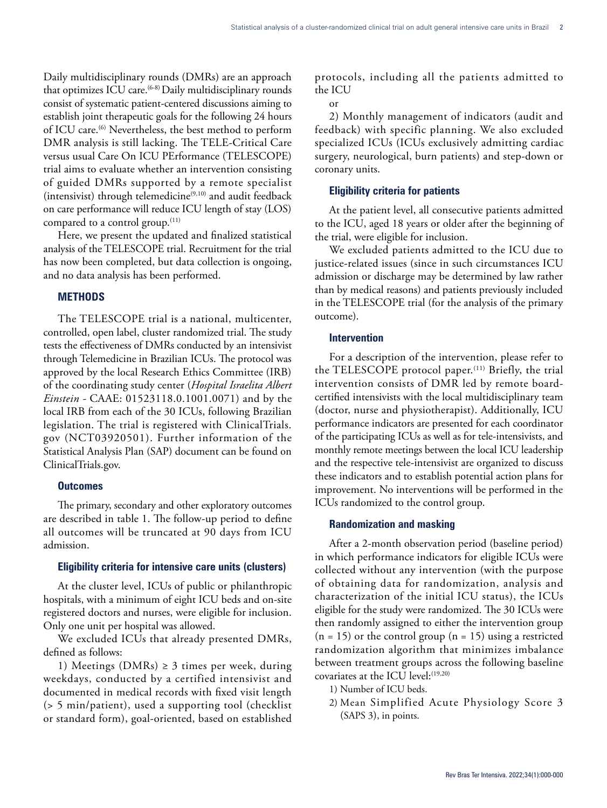Daily multidisciplinary rounds (DMRs) are an approach that optimizes ICU care.<sup>(6-8)</sup> Daily multidisciplinary rounds consist of systematic patient-centered discussions aiming to establish joint therapeutic goals for the following 24 hours of ICU care.<sup>(6)</sup> Nevertheless, the best method to perform DMR analysis is still lacking. The TELE-Critical Care versus usual Care On ICU PErformance (TELESCOPE) trial aims to evaluate whether an intervention consisting of guided DMRs supported by a remote specialist (intensivist) through telemedicine<sup>(9,10)</sup> and audit feedback on care performance will reduce ICU length of stay (LOS) compared to a control group.<sup>(11)</sup>

Here, we present the updated and finalized statistical analysis of the TELESCOPE trial. Recruitment for the trial has now been completed, but data collection is ongoing, and no data analysis has been performed.

# **METHODS**

The TELESCOPE trial is a national, multicenter, controlled, open label, cluster randomized trial. The study tests the effectiveness of DMRs conducted by an intensivist through Telemedicine in Brazilian ICUs. The protocol was approved by the local Research Ethics Committee (IRB) of the coordinating study center (*Hospital Israelita Albert Einstein -* CAAE: 01523118.0.1001.0071) and by the local IRB from each of the 30 ICUs, following Brazilian legislation. The trial is registered with ClinicalTrials. gov (NCT03920501). Further information of the Statistical Analysis Plan (SAP) document can be found on ClinicalTrials.gov.

# **Outcomes**

The primary, secondary and other exploratory outcomes are described in table 1. The follow-up period to define all outcomes will be truncated at 90 days from ICU admission.

# **Eligibility criteria for intensive care units (clusters)**

At the cluster level, ICUs of public or philanthropic hospitals, with a minimum of eight ICU beds and on-site registered doctors and nurses, were eligible for inclusion. Only one unit per hospital was allowed.

We excluded ICUs that already presented DMRs, defined as follows:

1) Meetings (DMRs)  $\geq$  3 times per week, during weekdays, conducted by a certified intensivist and documented in medical records with fixed visit length (> 5 min/patient), used a supporting tool (checklist or standard form), goal-oriented, based on established protocols, including all the patients admitted to the ICU

or

2) Monthly management of indicators (audit and feedback) with specific planning. We also excluded specialized ICUs (ICUs exclusively admitting cardiac surgery, neurological, burn patients) and step-down or coronary units.

# **Eligibility criteria for patients**

At the patient level, all consecutive patients admitted to the ICU, aged 18 years or older after the beginning of the trial, were eligible for inclusion.

We excluded patients admitted to the ICU due to justice-related issues (since in such circumstances ICU admission or discharge may be determined by law rather than by medical reasons) and patients previously included in the TELESCOPE trial (for the analysis of the primary outcome).

# **Intervention**

For a description of the intervention, please refer to the TELESCOPE protocol paper.<sup>(11)</sup> Briefly, the trial intervention consists of DMR led by remote boardcertified intensivists with the local multidisciplinary team (doctor, nurse and physiotherapist). Additionally, ICU performance indicators are presented for each coordinator of the participating ICUs as well as for tele-intensivists, and monthly remote meetings between the local ICU leadership and the respective tele-intensivist are organized to discuss these indicators and to establish potential action plans for improvement. No interventions will be performed in the ICUs randomized to the control group.

# **Randomization and masking**

After a 2-month observation period (baseline period) in which performance indicators for eligible ICUs were collected without any intervention (with the purpose of obtaining data for randomization, analysis and characterization of the initial ICU status), the ICUs eligible for the study were randomized. The 30 ICUs were then randomly assigned to either the intervention group  $(n = 15)$  or the control group  $(n = 15)$  using a restricted randomization algorithm that minimizes imbalance between treatment groups across the following baseline covariates at the ICU level: (19,20)

- 1) Number of ICU beds.
- 2) Mean Simplified Acute Physiology Score 3 (SAPS 3), in points.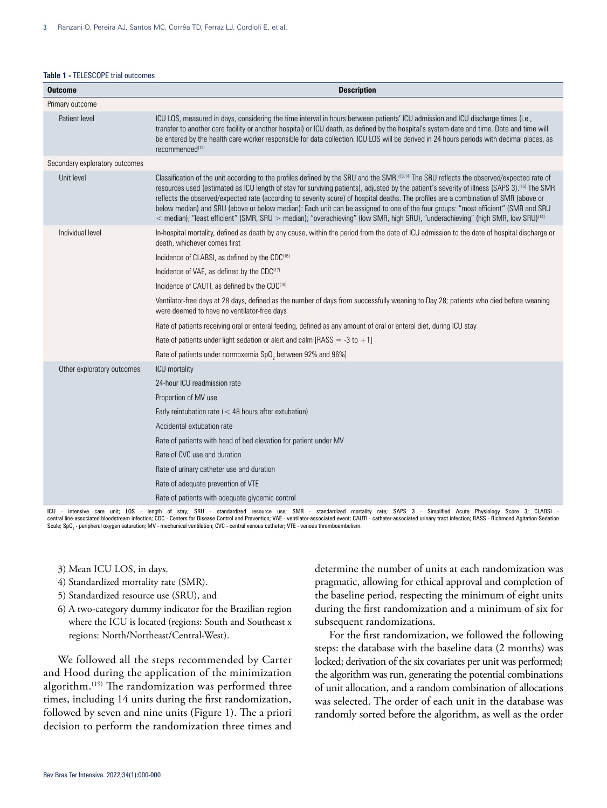#### **Table 1 -** TELESCOPE trial outcomes

| <b>Outcome</b>                 | <b>Description</b>                                                                                                                                                                                                                                                                                                                                                                                                                                                                                                                                                                                                                                                                                                                            |  |  |  |  |  |  |
|--------------------------------|-----------------------------------------------------------------------------------------------------------------------------------------------------------------------------------------------------------------------------------------------------------------------------------------------------------------------------------------------------------------------------------------------------------------------------------------------------------------------------------------------------------------------------------------------------------------------------------------------------------------------------------------------------------------------------------------------------------------------------------------------|--|--|--|--|--|--|
| Primary outcome                |                                                                                                                                                                                                                                                                                                                                                                                                                                                                                                                                                                                                                                                                                                                                               |  |  |  |  |  |  |
| Patient level                  | ICU LOS, measured in days, considering the time interval in hours between patients' ICU admission and ICU discharge times (i.e.,<br>transfer to another care facility or another hospital) or ICU death, as defined by the hospital's system date and time. Date and time will<br>be entered by the health care worker responsible for data collection. ICU LOS will be derived in 24 hours periods with decimal places, as<br>recommended <sup>(12)</sup>                                                                                                                                                                                                                                                                                    |  |  |  |  |  |  |
| Secondary exploratory outcomes |                                                                                                                                                                                                                                                                                                                                                                                                                                                                                                                                                                                                                                                                                                                                               |  |  |  |  |  |  |
| Unit level                     | Classification of the unit according to the profiles defined by the SRU and the SMR. <sup>13,14</sup> The SRU reflects the observed/expected rate of<br>resources used (estimated as ICU length of stay for surviving patients), adjusted by the patient's severity of illness (SAPS 3). <sup>(15)</sup> The SMR<br>reflects the observed/expected rate (according to severity score) of hospital deaths. The profiles are a combination of SMR (above or<br>below median) and SRU (above or below median): Each unit can be assigned to one of the four groups: "most efficient" (SMR and SRU<br>< median); "least efficient" (SMR, SRU > median); "overachieving" (low SMR, high SRU), "underachieving" (high SMR, low SRU) <sup>[14]</sup> |  |  |  |  |  |  |
| Individual level               | In-hospital mortality, defined as death by any cause, within the period from the date of ICU admission to the date of hospital discharge or<br>death, whichever comes first                                                                                                                                                                                                                                                                                                                                                                                                                                                                                                                                                                   |  |  |  |  |  |  |
|                                | Incidence of CLABSI, as defined by the CDC <sup>(16)</sup>                                                                                                                                                                                                                                                                                                                                                                                                                                                                                                                                                                                                                                                                                    |  |  |  |  |  |  |
|                                | Incidence of VAE, as defined by the CDC <sup>(17)</sup>                                                                                                                                                                                                                                                                                                                                                                                                                                                                                                                                                                                                                                                                                       |  |  |  |  |  |  |
|                                | Incidence of CAUTI, as defined by the CDC <sup>(18)</sup>                                                                                                                                                                                                                                                                                                                                                                                                                                                                                                                                                                                                                                                                                     |  |  |  |  |  |  |
|                                | Ventilator-free days at 28 days, defined as the number of days from successfully weaning to Day 28; patients who died before weaning<br>were deemed to have no ventilator-free days                                                                                                                                                                                                                                                                                                                                                                                                                                                                                                                                                           |  |  |  |  |  |  |
|                                | Rate of patients receiving oral or enteral feeding, defined as any amount of oral or enteral diet, during ICU stay                                                                                                                                                                                                                                                                                                                                                                                                                                                                                                                                                                                                                            |  |  |  |  |  |  |
|                                | Rate of patients under light sedation or alert and calm [RASS = -3 to +1]                                                                                                                                                                                                                                                                                                                                                                                                                                                                                                                                                                                                                                                                     |  |  |  |  |  |  |
|                                | Rate of patients under normoxemia SpO <sub>2</sub> between 92% and 96%]                                                                                                                                                                                                                                                                                                                                                                                                                                                                                                                                                                                                                                                                       |  |  |  |  |  |  |
| Other exploratory outcomes     | ICU mortality                                                                                                                                                                                                                                                                                                                                                                                                                                                                                                                                                                                                                                                                                                                                 |  |  |  |  |  |  |
|                                | 24-hour ICU readmission rate                                                                                                                                                                                                                                                                                                                                                                                                                                                                                                                                                                                                                                                                                                                  |  |  |  |  |  |  |
|                                | Proportion of MV use                                                                                                                                                                                                                                                                                                                                                                                                                                                                                                                                                                                                                                                                                                                          |  |  |  |  |  |  |
|                                | Early reintubation rate ( $<$ 48 hours after extubation)                                                                                                                                                                                                                                                                                                                                                                                                                                                                                                                                                                                                                                                                                      |  |  |  |  |  |  |
|                                | Accidental extubation rate                                                                                                                                                                                                                                                                                                                                                                                                                                                                                                                                                                                                                                                                                                                    |  |  |  |  |  |  |
|                                | Rate of patients with head of bed elevation for patient under MV                                                                                                                                                                                                                                                                                                                                                                                                                                                                                                                                                                                                                                                                              |  |  |  |  |  |  |
|                                | Rate of CVC use and duration                                                                                                                                                                                                                                                                                                                                                                                                                                                                                                                                                                                                                                                                                                                  |  |  |  |  |  |  |
|                                | Rate of urinary catheter use and duration                                                                                                                                                                                                                                                                                                                                                                                                                                                                                                                                                                                                                                                                                                     |  |  |  |  |  |  |
|                                | Rate of adequate prevention of VTE                                                                                                                                                                                                                                                                                                                                                                                                                                                                                                                                                                                                                                                                                                            |  |  |  |  |  |  |
|                                | Rate of patients with adequate glycemic control                                                                                                                                                                                                                                                                                                                                                                                                                                                                                                                                                                                                                                                                                               |  |  |  |  |  |  |

ICU - intensive care unit; LOS - length of stay; SRU - standardized resource use; SMR - standardized mortality rate; SAPS 3 - Simplified Acute Physiology Score 3; CLABSI -<br>central line-associated bloodstream infection;CDC

- 3) Mean ICU LOS, in days.
- 4) Standardized mortality rate (SMR).
- 5) Standardized resource use (SRU), and
- 6) A two-category dummy indicator for the Brazilian region where the ICU is located (regions: South and Southeast x regions: North/Northeast/Central-West).

We followed all the steps recommended by Carter and Hood during the application of the minimization algorithm.<sup>(19)</sup> The randomization was performed three times, including 14 units during the first randomization, followed by seven and nine units (Figure 1). The a priori decision to perform the randomization three times and determine the number of units at each randomization was pragmatic, allowing for ethical approval and completion of the baseline period, respecting the minimum of eight units during the first randomization and a minimum of six for subsequent randomizations.

For the first randomization, we followed the following steps: the database with the baseline data (2 months) was locked; derivation of the six covariates per unit was performed; the algorithm was run, generating the potential combinations of unit allocation, and a random combination of allocations was selected. The order of each unit in the database was randomly sorted before the algorithm, as well as the order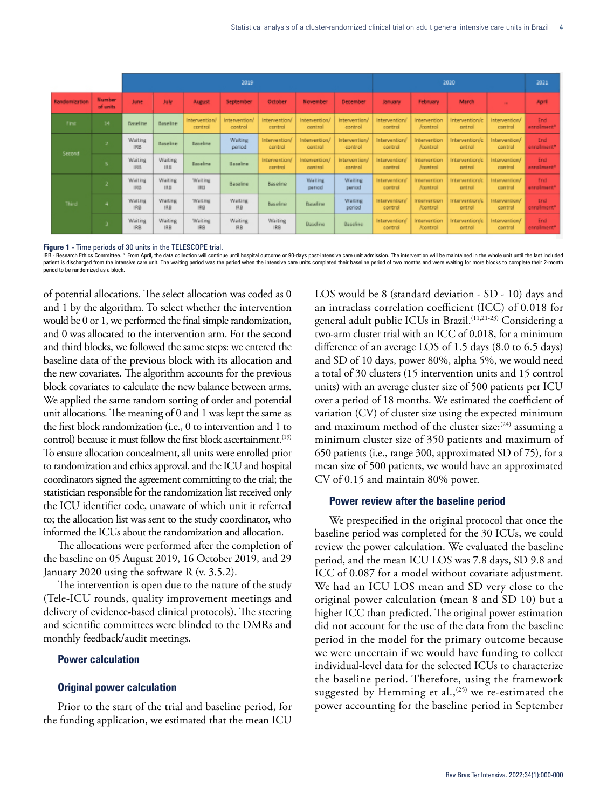|               |                     | 2019                       |                              |                            |                          |                            |                          |                          | 2020                      |                                        |                                   |                          | 2021               |
|---------------|---------------------|----------------------------|------------------------------|----------------------------|--------------------------|----------------------------|--------------------------|--------------------------|---------------------------|----------------------------------------|-----------------------------------|--------------------------|--------------------|
| Randomization | Number<br>of units. | June                       | <b>July</b>                  | <b>August</b>              | September                | October                    | November                 | December                 | January:                  | February                               | March                             |                          | April              |
| First         | 14                  | <b>Elected</b> from        | <b>Baseline</b>              | Intervention/<br>control   | Intervention/<br>control | Intervention/<br>control   | Intervention/<br>control | Intervention/<br>control | Intervention/<br>control  | Intervention<br>Accontrol              | Intervention/c<br>central         | Intervention/<br>control | End<br>enrolment*  |
| Second        | 2                   | Waiting<br>IRG.            | Baseline.                    | <b>Baneline</b>            | Waiting:<br>period       | Intervention/<br>control   | Intervention/<br>control | Intervention/<br>control | Intervention/<br>control. | <b>Intervention</b><br><b>/control</b> | Intervention/c<br>ontroll         | Intervention/<br>control | End<br>enrolment*  |
|               | -5 -                | Waiting<br><b>IRMS</b>     | Waiting<br><b>IRB</b>        | <b>Baseline</b>            | <b>Baseline</b>          | Intervention/<br>control   | Intervention/<br>control | Intervention/<br>control | Intervention/<br>control  | Intervention<br>/control               | Intervention/c<br>certral         | Intervention/<br>control | End<br>errolment*  |
| Third         | 21                  | Waiting<br>IR <sub>3</sub> | <b>Waiting</b><br><b>IRB</b> | Waiting<br><b>IRIL</b>     | Baseline                 | Baseline                   | Waiting<br>period        | Waiting<br>pericid       | Intervention/<br>control  | Intervention<br>/cantrol               | <b>Intervention/c</b><br>pritrail | Intervention/<br>control | End<br>enrolment*  |
|               | 4.                  | Waiting<br>IRB             | <b>Waiting</b><br><b>IRB</b> | Waiting<br>169             | Walling<br><b>IRB</b>    | Baseline                   | Baseline                 | Waiting<br>period        | Intervention/<br>control  | Intervention<br><b>/control</b>        | Intervention/c<br>ontroll         | Intervention/<br>control | End<br>enrollment* |
|               | G.                  | Waiting<br>IR <sub>8</sub> | Waiting.<br><b>IBB</b>       | Waiting<br>IR <sub>8</sub> | Waiting<br><b>IRB</b>    | Waiting<br>IR <sub>8</sub> | <b>Baseline</b>          | Baseline                 | Intervention/<br>control  | Intervention<br><b>/control</b>        | Intervention/c<br>ontroll         | Intervention/<br>control | End<br>enrollment* |

#### **Figure 1 -** Time periods of 30 units in the TELESCOPE trial.

IRB - Research Ethics Committee. \* From April, the data collection will continue until hospital outcome or 90-days post-intensive care unit admission. The intervention will be maintained in the whole unit until the last in patient is discharged from the intensive care unit. The waiting period was the period when the intensive care units completed their baseline period of two months and were waiting for more blocks to complete their 2-month period to be randomized as a block.

of potential allocations. The select allocation was coded as 0 and 1 by the algorithm. To select whether the intervention would be 0 or 1, we performed the final simple randomization, and 0 was allocated to the intervention arm. For the second and third blocks, we followed the same steps: we entered the baseline data of the previous block with its allocation and the new covariates. The algorithm accounts for the previous block covariates to calculate the new balance between arms. We applied the same random sorting of order and potential unit allocations. The meaning of 0 and 1 was kept the same as the first block randomization (i.e., 0 to intervention and 1 to control) because it must follow the first block ascertainment.<sup>(19)</sup> To ensure allocation concealment, all units were enrolled prior to randomization and ethics approval, and the ICU and hospital coordinators signed the agreement committing to the trial; the statistician responsible for the randomization list received only the ICU identifier code, unaware of which unit it referred to; the allocation list was sent to the study coordinator, who informed the ICUs about the randomization and allocation.

The allocations were performed after the completion of the baseline on 05 August 2019, 16 October 2019, and 29 January 2020 using the software R (v. 3.5.2).

The intervention is open due to the nature of the study (Tele-ICU rounds, quality improvement meetings and delivery of evidence-based clinical protocols). The steering and scientific committees were blinded to the DMRs and monthly feedback/audit meetings.

#### **Power calculation**

#### **Original power calculation**

Prior to the start of the trial and baseline period, for the funding application, we estimated that the mean ICU

LOS would be 8 (standard deviation - SD - 10) days and an intraclass correlation coefficient (ICC) of 0.018 for general adult public ICUs in Brazil.(11,21-23) Considering a two-arm cluster trial with an ICC of 0.018, for a minimum difference of an average LOS of 1.5 days (8.0 to 6.5 days) and SD of 10 days, power 80%, alpha 5%, we would need a total of 30 clusters (15 intervention units and 15 control units) with an average cluster size of 500 patients per ICU over a period of 18 months. We estimated the coefficient of variation (CV) of cluster size using the expected minimum and maximum method of the cluster size: $(24)$  assuming a minimum cluster size of 350 patients and maximum of 650 patients (i.e., range 300, approximated SD of 75), for a mean size of 500 patients, we would have an approximated CV of 0.15 and maintain 80% power.

#### **Power review after the baseline period**

We prespecified in the original protocol that once the baseline period was completed for the 30 ICUs, we could review the power calculation. We evaluated the baseline period, and the mean ICU LOS was 7.8 days, SD 9.8 and ICC of 0.087 for a model without covariate adjustment. We had an ICU LOS mean and SD very close to the original power calculation (mean 8 and SD 10) but a higher ICC than predicted. The original power estimation did not account for the use of the data from the baseline period in the model for the primary outcome because we were uncertain if we would have funding to collect individual-level data for the selected ICUs to characterize the baseline period. Therefore, using the framework suggested by Hemming et al., $(25)$  we re-estimated the power accounting for the baseline period in September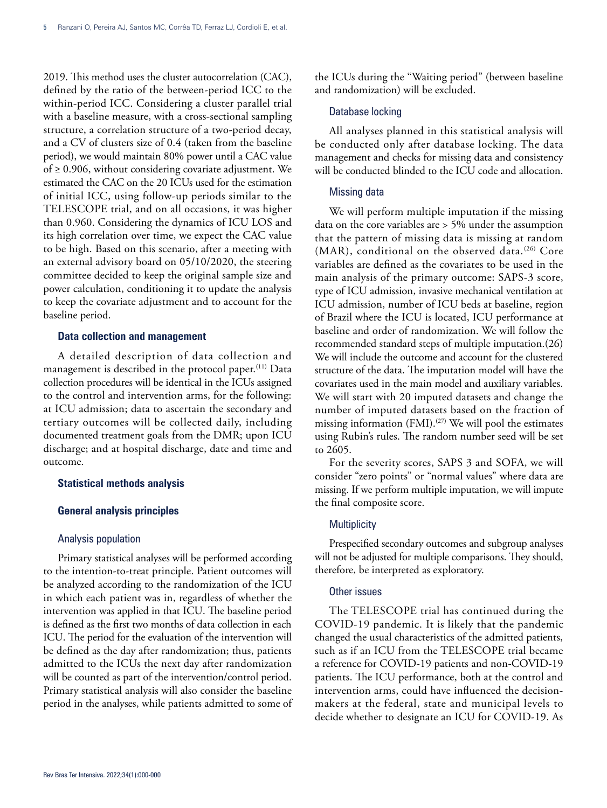2019. This method uses the cluster autocorrelation (CAC), defined by the ratio of the between-period ICC to the within-period ICC. Considering a cluster parallel trial with a baseline measure, with a cross-sectional sampling structure, a correlation structure of a two-period decay, and a CV of clusters size of 0.4 (taken from the baseline period), we would maintain 80% power until a CAC value of  $\geq$  0.906, without considering covariate adjustment. We estimated the CAC on the 20 ICUs used for the estimation of initial ICC, using follow-up periods similar to the TELESCOPE trial, and on all occasions, it was higher than 0.960. Considering the dynamics of ICU LOS and its high correlation over time, we expect the CAC value to be high. Based on this scenario, after a meeting with an external advisory board on 05/10/2020, the steering committee decided to keep the original sample size and power calculation, conditioning it to update the analysis to keep the covariate adjustment and to account for the baseline period.

#### **Data collection and management**

A detailed description of data collection and management is described in the protocol paper.<sup>(11)</sup> Data collection procedures will be identical in the ICUs assigned to the control and intervention arms, for the following: at ICU admission; data to ascertain the secondary and tertiary outcomes will be collected daily, including documented treatment goals from the DMR; upon ICU discharge; and at hospital discharge, date and time and outcome.

#### **Statistical methods analysis**

## **General analysis principles**

#### Analysis population

Primary statistical analyses will be performed according to the intention-to-treat principle. Patient outcomes will be analyzed according to the randomization of the ICU in which each patient was in, regardless of whether the intervention was applied in that ICU. The baseline period is defined as the first two months of data collection in each ICU. The period for the evaluation of the intervention will be defined as the day after randomization; thus, patients admitted to the ICUs the next day after randomization will be counted as part of the intervention/control period. Primary statistical analysis will also consider the baseline period in the analyses, while patients admitted to some of

the ICUs during the "Waiting period" (between baseline and randomization) will be excluded.

#### Database locking

All analyses planned in this statistical analysis will be conducted only after database locking. The data management and checks for missing data and consistency will be conducted blinded to the ICU code and allocation.

## Missing data

We will perform multiple imputation if the missing data on the core variables are > 5% under the assumption that the pattern of missing data is missing at random (MAR), conditional on the observed data.<sup>(26)</sup> Core variables are defined as the covariates to be used in the main analysis of the primary outcome: SAPS-3 score, type of ICU admission, invasive mechanical ventilation at ICU admission, number of ICU beds at baseline, region of Brazil where the ICU is located, ICU performance at baseline and order of randomization. We will follow the recommended standard steps of multiple imputation.(26) We will include the outcome and account for the clustered structure of the data. The imputation model will have the covariates used in the main model and auxiliary variables. We will start with 20 imputed datasets and change the number of imputed datasets based on the fraction of missing information  $(FMI)$ .<sup>(27)</sup> We will pool the estimates using Rubin's rules. The random number seed will be set to 2605.

For the severity scores, SAPS 3 and SOFA, we will consider "zero points" or "normal values" where data are missing. If we perform multiple imputation, we will impute the final composite score.

#### **Multiplicity**

Prespecified secondary outcomes and subgroup analyses will not be adjusted for multiple comparisons. They should, therefore, be interpreted as exploratory.

# Other issues

The TELESCOPE trial has continued during the COVID-19 pandemic. It is likely that the pandemic changed the usual characteristics of the admitted patients, such as if an ICU from the TELESCOPE trial became a reference for COVID-19 patients and non-COVID-19 patients. The ICU performance, both at the control and intervention arms, could have influenced the decisionmakers at the federal, state and municipal levels to decide whether to designate an ICU for COVID-19. As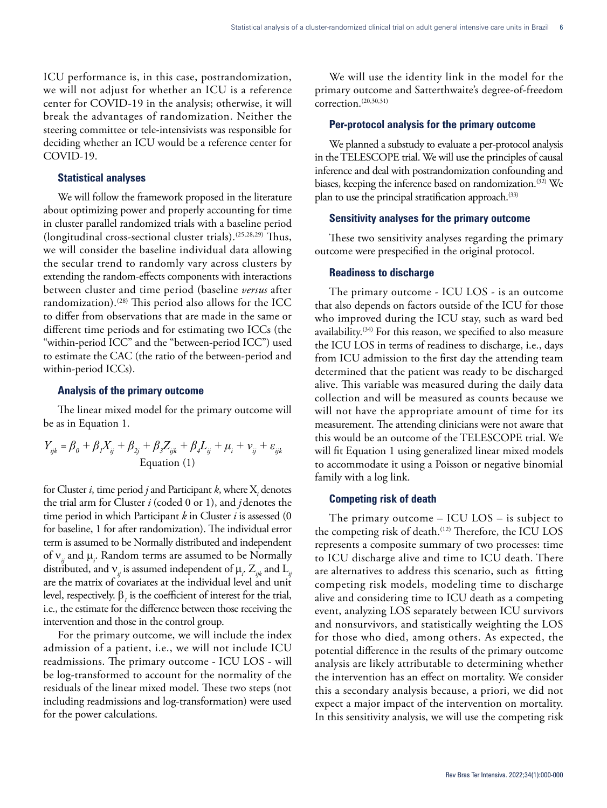ICU performance is, in this case, postrandomization, we will not adjust for whether an ICU is a reference center for COVID-19 in the analysis; otherwise, it will break the advantages of randomization. Neither the steering committee or tele-intensivists was responsible for deciding whether an ICU would be a reference center for COVID-19.

## **Statistical analyses**

We will follow the framework proposed in the literature about optimizing power and properly accounting for time in cluster parallel randomized trials with a baseline period (longitudinal cross-sectional cluster trials).(25,28,29) Thus, we will consider the baseline individual data allowing the secular trend to randomly vary across clusters by extending the random-effects components with interactions between cluster and time period (baseline *versus* after randomization).<sup>(28)</sup> This period also allows for the ICC to differ from observations that are made in the same or different time periods and for estimating two ICCs (the "within-period ICC" and the "between-period ICC") used to estimate the CAC (the ratio of the between-period and within-period ICCs).

## **Analysis of the primary outcome**

The linear mixed model for the primary outcome will be as in Equation 1.

$$
Y_{ijk} = \beta_0 + \beta_1 X_{ij} + \beta_{2j} + \beta_3 Z_{ijk} + \beta_4 L_{ij} + \mu_i + \nu_{ij} + \varepsilon_{ijk}
$$
  
Equation (1)

for Cluster *i*, time period *j* and Participant *k*, where  $X_i$  denotes the trial arm for Cluster *i* (coded 0 or 1), and *j*denotes the time period in which Participant *k* in Cluster *i* is assessed (0 for baseline, 1 for after randomization). The individual error term is assumed to be Normally distributed and independent of  $v_{ij}$  and  $\mu_i$ . Random terms are assumed to be Normally distributed, and  $\mathsf{v}_{_{\mathit{ij}}}$  is assumed independent of  $\mu_{_{i^*}}\,\mathrm{Z}_{_{\mathit{ijk}}}$  and  $\mathrm{L}_{_{\mathit{ij}}}$ are the matrix of covariates at the individual level and unit level, respectively.  $\beta_i$  is the coefficient of interest for the trial, i.e., the estimate for the difference between those receiving the intervention and those in the control group.

For the primary outcome, we will include the index admission of a patient, i.e., we will not include ICU readmissions. The primary outcome - ICU LOS - will be log-transformed to account for the normality of the residuals of the linear mixed model. These two steps (not including readmissions and log-transformation) were used for the power calculations.

We will use the identity link in the model for the primary outcome and Satterthwaite's degree-of-freedom correction.<sup>(20,30,31)</sup>

## **Per-protocol analysis for the primary outcome**

We planned a substudy to evaluate a per-protocol analysis in the TELESCOPE trial. We will use the principles of causal inference and deal with postrandomization confounding and biases, keeping the inference based on randomization.(32) We plan to use the principal stratification approach.<sup>(33)</sup>

#### **Sensitivity analyses for the primary outcome**

These two sensitivity analyses regarding the primary outcome were prespecified in the original protocol.

#### **Readiness to discharge**

The primary outcome - ICU LOS - is an outcome that also depends on factors outside of the ICU for those who improved during the ICU stay, such as ward bed availability.<sup>(34)</sup> For this reason, we specified to also measure the ICU LOS in terms of readiness to discharge, i.e., days from ICU admission to the first day the attending team determined that the patient was ready to be discharged alive. This variable was measured during the daily data collection and will be measured as counts because we will not have the appropriate amount of time for its measurement. The attending clinicians were not aware that this would be an outcome of the TELESCOPE trial. We will fit Equation 1 using generalized linear mixed models to accommodate it using a Poisson or negative binomial family with a log link.

#### **Competing risk of death**

The primary outcome – ICU LOS – is subject to the competing risk of death.<sup>(12)</sup> Therefore, the ICU LOS represents a composite summary of two processes: time to ICU discharge alive and time to ICU death. There are alternatives to address this scenario, such as fitting competing risk models, modeling time to discharge alive and considering time to ICU death as a competing event, analyzing LOS separately between ICU survivors and nonsurvivors, and statistically weighting the LOS for those who died, among others. As expected, the potential difference in the results of the primary outcome analysis are likely attributable to determining whether the intervention has an effect on mortality. We consider this a secondary analysis because, a priori, we did not expect a major impact of the intervention on mortality. In this sensitivity analysis, we will use the competing risk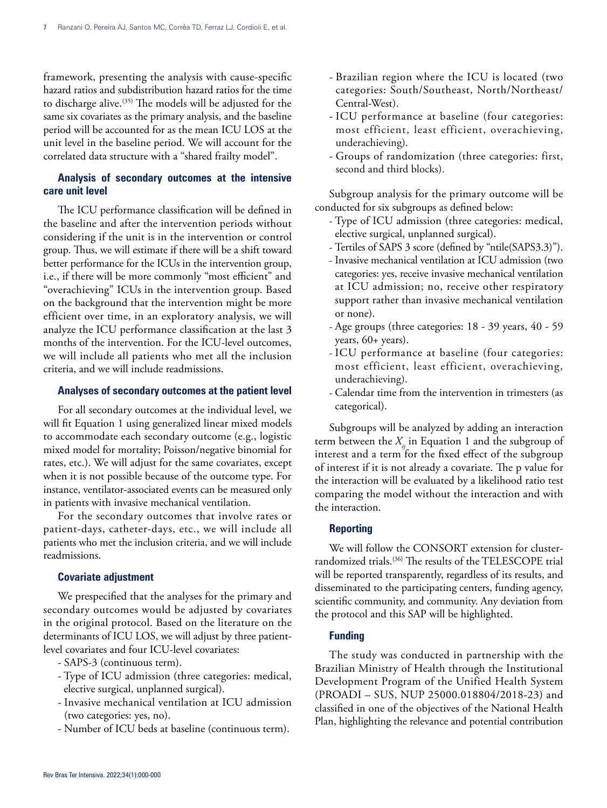framework, presenting the analysis with cause-specific hazard ratios and subdistribution hazard ratios for the time to discharge alive.<sup>(35)</sup> The models will be adjusted for the same six covariates as the primary analysis, and the baseline period will be accounted for as the mean ICU LOS at the unit level in the baseline period. We will account for the correlated data structure with a "shared frailty model".

# **Analysis of secondary outcomes at the intensive care unit level**

The ICU performance classification will be defined in the baseline and after the intervention periods without considering if the unit is in the intervention or control group. Thus, we will estimate if there will be a shift toward better performance for the ICUs in the intervention group, i.e., if there will be more commonly "most efficient" and "overachieving" ICUs in the intervention group. Based on the background that the intervention might be more efficient over time, in an exploratory analysis, we will analyze the ICU performance classification at the last 3 months of the intervention. For the ICU-level outcomes, we will include all patients who met all the inclusion criteria, and we will include readmissions.

# **Analyses of secondary outcomes at the patient level**

For all secondary outcomes at the individual level, we will fit Equation 1 using generalized linear mixed models to accommodate each secondary outcome (e.g., logistic mixed model for mortality; Poisson/negative binomial for rates, etc.). We will adjust for the same covariates, except when it is not possible because of the outcome type. For instance, ventilator-associated events can be measured only in patients with invasive mechanical ventilation.

For the secondary outcomes that involve rates or patient-days, catheter-days, etc., we will include all patients who met the inclusion criteria, and we will include readmissions.

# **Covariate adjustment**

We prespecified that the analyses for the primary and secondary outcomes would be adjusted by covariates in the original protocol. Based on the literature on the determinants of ICU LOS, we will adjust by three patientlevel covariates and four ICU-level covariates:

- SAPS-3 (continuous term).
- Type of ICU admission (three categories: medical, elective surgical, unplanned surgical).
- Invasive mechanical ventilation at ICU admission (two categories: yes, no).
- Number of ICU beds at baseline (continuous term).
- Brazilian region where the ICU is located (two categories: South/Southeast, North/Northeast/ Central-West).
- ICU performance at baseline (four categories: most efficient, least efficient, overachieving, underachieving).
- Groups of randomization (three categories: first, second and third blocks).

Subgroup analysis for the primary outcome will be conducted for six subgroups as defined below:

- Type of ICU admission (three categories: medical, elective surgical, unplanned surgical).
- Tertiles of SAPS 3 score (defined by "ntile(SAPS3.3)").
- Invasive mechanical ventilation at ICU admission (two categories: yes, receive invasive mechanical ventilation at ICU admission; no, receive other respiratory support rather than invasive mechanical ventilation or none).
- Age groups (three categories: 18 39 years, 40 59 years, 60+ years).
- ICU performance at baseline (four categories: most efficient, least efficient, overachieving, underachieving).
- Calendar time from the intervention in trimesters (as categorical).

Subgroups will be analyzed by adding an interaction term between the  $X_i$  in Equation 1 and the subgroup of interest and a term for the fixed effect of the subgroup of interest if it is not already a covariate. The p value for the interaction will be evaluated by a likelihood ratio test comparing the model without the interaction and with the interaction.

#### **Reporting**

We will follow the CONSORT extension for clusterrandomized trials.(36) The results of the TELESCOPE trial will be reported transparently, regardless of its results, and disseminated to the participating centers, funding agency, scientific community, and community. Any deviation from the protocol and this SAP will be highlighted.

# **Funding**

The study was conducted in partnership with the Brazilian Ministry of Health through the Institutional Development Program of the Unified Health System (PROADI – SUS, NUP 25000.018804/2018-23) and classified in one of the objectives of the National Health Plan, highlighting the relevance and potential contribution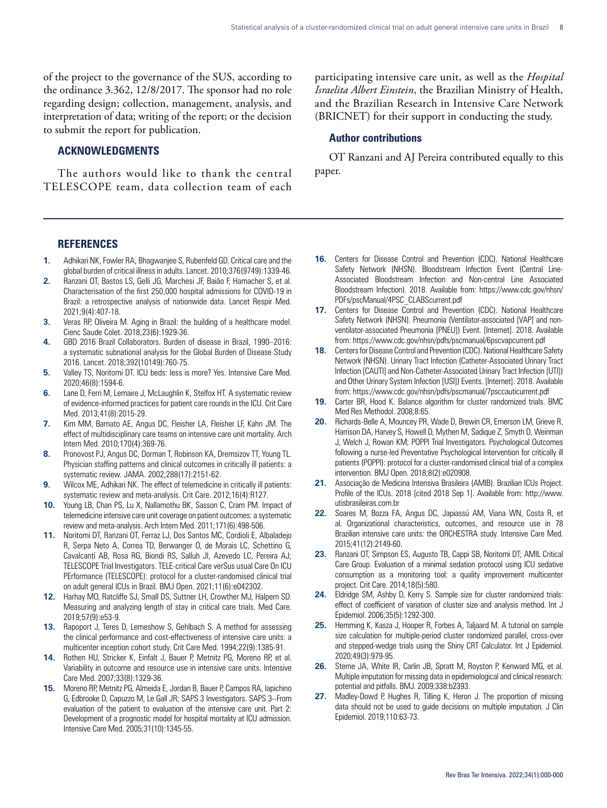of the project to the governance of the SUS, according to the ordinance 3.362, 12/8/2017. The sponsor had no role regarding design; collection, management, analysis, and interpretation of data; writing of the report; or the decision to submit the report for publication.

# **ACKNOWLEDGMENTS**

The authors would like to thank the central TELESCOPE team, data collection team of each

participating intensive care unit, as well as the *Hospital Israelita Albert Einstein*, the Brazilian Ministry of Health, and the Brazilian Research in Intensive Care Network (BRICNET) for their support in conducting the study.

# **Author contributions**

OT Ranzani and AJ Pereira contributed equally to this paper.

## **REFERENCES**

- **1.** Adhikari NK, Fowler RA, Bhagwanjee S, Rubenfeld GD. Critical care and the global burden of critical illness in adults. Lancet. 2010;376(9749):1339-46.
- **2.** Ranzani OT, Bastos LS, Gelli JG, Marchesi JF, Baião F, Hamacher S, et al. Characterisation of the first 250,000 hospital admissions for COVID-19 in Brazil: a retrospective analysis of nationwide data. Lancet Respir Med. 2021;9(4):407-18.
- **3.** Veras RP, Oliveira M. Aging in Brazil: the building of a healthcare model. Cienc Saude Colet. 2018;23(6):1929-36.
- **4.** GBD 2016 Brazil Collaborators. Burden of disease in Brazil, 1990–2016: a systematic subnational analysis for the Global Burden of Disease Study 2016. Lancet. 2018;392(10149):760-75.
- **5.** Valley TS, Noritomi DT. ICU beds: less is more? Yes. Intensive Care Med. 2020;46(8):1594-6.
- **6.** Lane D, Ferri M, Lemaire J, McLaughlin K, Stelfox HT. A systematic review of evidence-informed practices for patient care rounds in the ICU. Crit Care Med. 2013;41(8):2015-29.
- **7.** Kim MM, Barnato AE, Angus DC, Fleisher LA, Fleisher LF, Kahn JM. The effect of multidisciplinary care teams on intensive care unit mortality. Arch Intern Med. 2010;170(4):369-76.
- **8.** Pronovost PJ, Angus DC, Dorman T, Robinson KA, Dremsizov TT, Young TL. Physician staffing patterns and clinical outcomes in critically ill patients: a systematic review. JAMA. 2002;288(17):2151-62.
- **9.** Wilcox ME, Adhikari NK. The effect of telemedicine in critically ill patients: systematic review and meta-analysis. Crit Care. 2012;16(4):R127.
- **10.** Young LB, Chan PS, Lu X, Nallamothu BK, Sasson C, Cram PM. Impact of telemedicine intensive care unit coverage on patient outcomes: a systematic review and meta-analysis. Arch Intern Med. 2011;171(6):498-506.
- **11.** Noritomi DT, Ranzani OT, Ferraz LJ, Dos Santos MC, Cordioli E, Albaladejo R, Serpa Neto A, Correa TD, Berwanger O, de Morais LC, Schettino G, Cavalcanti AB, Rosa RG, Biondi RS, Salluh JI, Azevedo LC, Pereira AJ; TELESCOPE Trial Investigators. TELE-critical Care verSus usual Care On ICU PErformance (TELESCOPE): protocol for a cluster-randomised clinical trial on adult general ICUs in Brazil. BMJ Open. 2021;11(6):e042302.
- **12.** Harhay MO, Ratcliffe SJ, Small DS, Suttner LH, Crowther MJ, Halpern SD. Measuring and analyzing length of stay in critical care trials. Med Care. 2019;57(9):e53-9.
- **13.** Rapoport J, Teres D, Lemeshow S, Gehlbach S. A method for assessing the clinical performance and cost-effectiveness of intensive care units: a multicenter inception cohort study. Crit Care Med. 1994;22(9):1385-91.
- **14.** Rothen HU, Stricker K, Einfalt J, Bauer P, Metnitz PG, Moreno RP, et al. Variability in outcome and resource use in intensive care units. Intensive Care Med. 2007;33(8):1329-36.
- **15.** Moreno RP, Metnitz PG, Almeida E, Jordan B, Bauer P, Campos RA, Iapichino G, Edbrooke D, Capuzzo M, Le Gall JR; SAPS 3 Investigators. SAPS 3--From evaluation of the patient to evaluation of the intensive care unit. Part 2: Development of a prognostic model for hospital mortality at ICU admission. Intensive Care Med. 2005;31(10):1345-55.
- **16.** Centers for Disease Control and Prevention (CDC). National Healthcare Safety Network (NHSN). Bloodstream Infection Event (Central Line-Associated Bloodstream Infection and Non-central Line Associated Bloodstream Infection). 2018. Available from: https://www.cdc.gov/nhsn/ PDFs/pscManual/4PSC\_CLABScurrent.pdf
- **17.** Centers for Disease Control and Prevention (CDC). National Healthcare Safety Network (NHSN). Pneumonia (Ventilator-associated [VAP] and nonventilator-associated Pneumonia [PNEU]) Event. [Internet]. 2018. Available from: https://www.cdc.gov/nhsn/pdfs/pscmanual/6pscvapcurrent.pdf
- **18.** Centers for Disease Control and Prevention (CDC). National Healthcare Safety Network (NHSN). Urinary Tract Infection (Catheter-Associated Urinary Tract Infection [CAUTI] and Non-Catheter-Associated Urinary Tract Infection [UTI]) and Other Urinary System Infection [USI]) Events. [Internet]. 2018. Available from: https://www.cdc.gov/nhsn/pdfs/pscmanual/7psccauticurrent.pdf
- **19.** Carter BR, Hood K. Balance algorithm for cluster randomized trials. BMC Med Res Methodol. 2008;8:65.
- **20.** Richards-Belle A, Mouncey PR, Wade D, Brewin CR, Emerson LM, Grieve R, Harrison DA, Harvey S, Howell D, Mythen M, Sadique Z, Smyth D, Weinman J, Welch J, Rowan KM; POPPI Trial Investigators. Psychological Outcomes following a nurse-led Preventative Psychological Intervention for critically ill patients (POPPI): protocol for a cluster-randomised clinical trial of a complex intervention. BMJ Open. 2018;8(2):e020908.
- **21.** Associação de Medicina Intensiva Brasileira (AMIB). Brazilian ICUs Project. Profile of the ICUs. 2018 [cited 2018 Sep 1]. Available from: http://www. utisbrasileiras.com.br
- **22.** Soares M, Bozza FA, Angus DC, Japiassú AM, Viana WN, Costa R, et al. Organizational characteristics, outcomes, and resource use in 78 Brazilian intensive care units: the ORCHESTRA study. Intensive Care Med. 2015;41(12):2149-60.
- **23.** Ranzani OT, Simpson ES, Augusto TB, Cappi SB, Noritomi DT; AMIL Critical Care Group. Evaluation of a minimal sedation protocol using ICU sedative consumption as a monitoring tool: a quality improvement multicenter project. Crit Care. 2014;18(5):580.
- **24.** Eldridge SM, Ashby D, Kerry S. Sample size for cluster randomized trials: effect of coefficient of variation of cluster size and analysis method. Int J Epidemiol. 2006;35(5):1292-300.
- **25.** Hemming K, Kasza J, Hooper R, Forbes A, Taljaard M. A tutorial on sample size calculation for multiple-period cluster randomized parallel, cross-over and stepped-wedge trials using the Shiny CRT Calculator. Int J Epidemiol. 2020;49(3):979-95.
- 26. Sterne JA, White IR, Carlin JB, Spratt M, Royston P, Kenward MG, et al. Multiple imputation for missing data in epidemiological and clinical research: potential and pitfalls. BMJ. 2009;338:b2393.
- **27.** Madley-Dowd P, Hughes R, Tilling K, Heron J. The proportion of missing data should not be used to guide decisions on multiple imputation. J Clin Epidemiol. 2019;110:63-73.